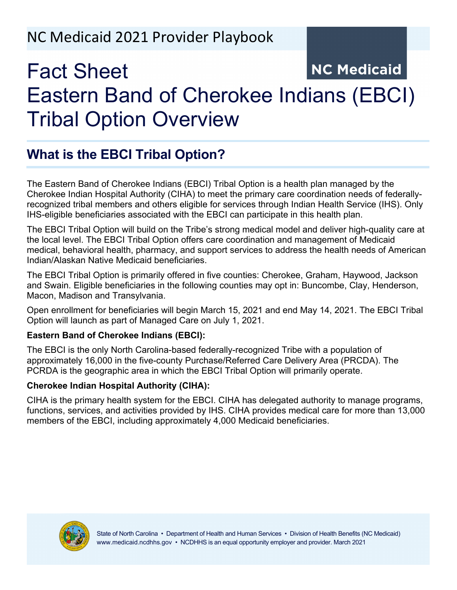## NC Medicaid 2021 Provider Playbook

# **NC Medicaid** Fact Sheet Eastern Band of Cherokee Indians (EBCI) Tribal Option Overview

## **What is the EBCI Tribal Option?**

The Eastern Band of Cherokee Indians (EBCI) Tribal Option is a health plan managed by the Cherokee Indian Hospital Authority (CIHA) to meet the primary care coordination needs of federallyrecognized tribal members and others eligible for services through Indian Health Service (IHS). Only IHS-eligible beneficiaries associated with the EBCI can participate in this health plan.

The EBCI Tribal Option will build on the Tribe's strong medical model and deliver high-quality care at the local level. The EBCI Tribal Option offers care coordination and management of Medicaid medical, behavioral health, pharmacy, and support services to address the health needs of American Indian/Alaskan Native Medicaid beneficiaries.

The EBCI Tribal Option is primarily offered in five counties: Cherokee, Graham, Haywood, Jackson and Swain. Eligible beneficiaries in the following counties may opt in: Buncombe, Clay, Henderson, Macon, Madison and Transylvania.

Open enrollment for beneficiaries will begin March 15, 2021 and end May 14, 2021. The EBCI Tribal Option will launch as part of Managed Care on July 1, 2021.

## **Eastern Band of Cherokee Indians (EBCI):**

The EBCI is the only North Carolina-based federally-recognized Tribe with a population of approximately 16,000 in the five-county Purchase/Referred Care Delivery Area (PRCDA). The PCRDA is the geographic area in which the EBCI Tribal Option will primarily operate.

## **Cherokee Indian Hospital Authority (CIHA):**

CIHA is the primary health system for the EBCI. CIHA has delegated authority to manage programs, functions, services, and activities provided by IHS. CIHA provides medical care for more than 13,000 members of the EBCI, including approximately 4,000 Medicaid beneficiaries.

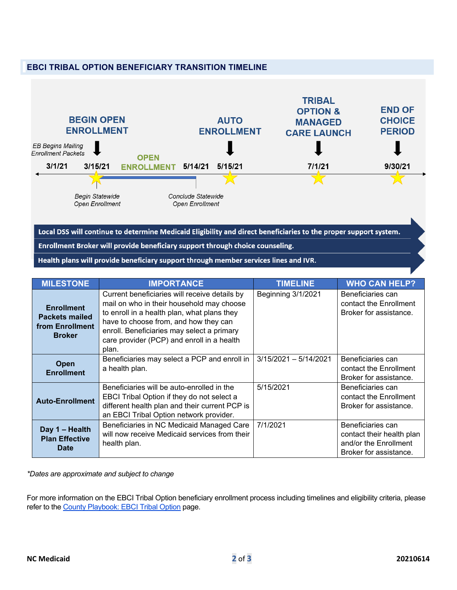



Local DSS will continue to determine Medicaid Eligibility and direct beneficiaries to the proper support system. Enrollment Broker will provide beneficiary support through choice counseling. Health plans will provide beneficiary support through member services lines and IVR.

| <b>MILESTONE</b>                                                               | <b>IMPORTANCE</b>                                                                                                                                                                                                                                                                       | <b>TIMELINE</b>         | <b>WHO CAN HELP?</b>                                                                              |
|--------------------------------------------------------------------------------|-----------------------------------------------------------------------------------------------------------------------------------------------------------------------------------------------------------------------------------------------------------------------------------------|-------------------------|---------------------------------------------------------------------------------------------------|
| <b>Enrollment</b><br><b>Packets mailed</b><br>from Enrollment<br><b>Broker</b> | Current beneficiaries will receive details by<br>mail on who in their household may choose<br>to enroll in a health plan, what plans they<br>have to choose from, and how they can<br>enroll. Beneficiaries may select a primary<br>care provider (PCP) and enroll in a health<br>plan. | Beginning 3/1/2021      | Beneficiaries can<br>contact the Enrollment<br>Broker for assistance.                             |
| Open<br><b>Enrollment</b>                                                      | Beneficiaries may select a PCP and enroll in<br>a health plan.                                                                                                                                                                                                                          | $3/15/2021 - 5/14/2021$ | Beneficiaries can<br>contact the Enrollment<br>Broker for assistance.                             |
| <b>Auto-Enrollment</b>                                                         | Beneficiaries will be auto-enrolled in the<br>EBCI Tribal Option if they do not select a<br>different health plan and their current PCP is<br>an EBCI Tribal Option network provider.                                                                                                   | 5/15/2021               | Beneficiaries can<br>contact the Enrollment<br>Broker for assistance.                             |
| Day 1 - Health<br><b>Plan Effective</b><br><b>Date</b>                         | Beneficiaries in NC Medicaid Managed Care<br>will now receive Medicaid services from their<br>health plan.                                                                                                                                                                              | 7/1/2021                | Beneficiaries can<br>contact their health plan<br>and/or the Enrollment<br>Broker for assistance. |

*\*Dates are approximate and subject to change*

For more information on the EBCI Tribal Option beneficiary enrollment process including timelines and eligibility criteria, please refer to the **County Playbook: EBCI Tribal Option** page.